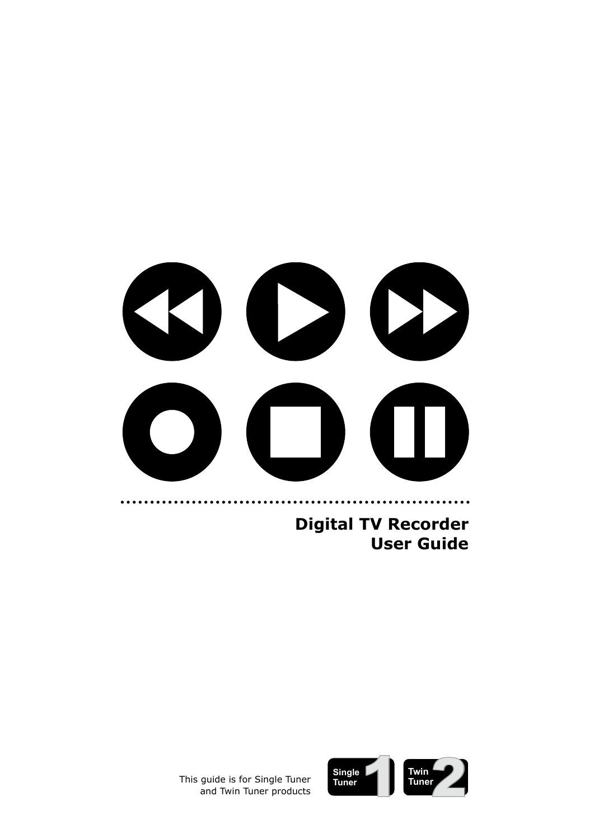

**Digital TV Recorder User Guide**



This guide is for Single Tuner and Twin Tuner products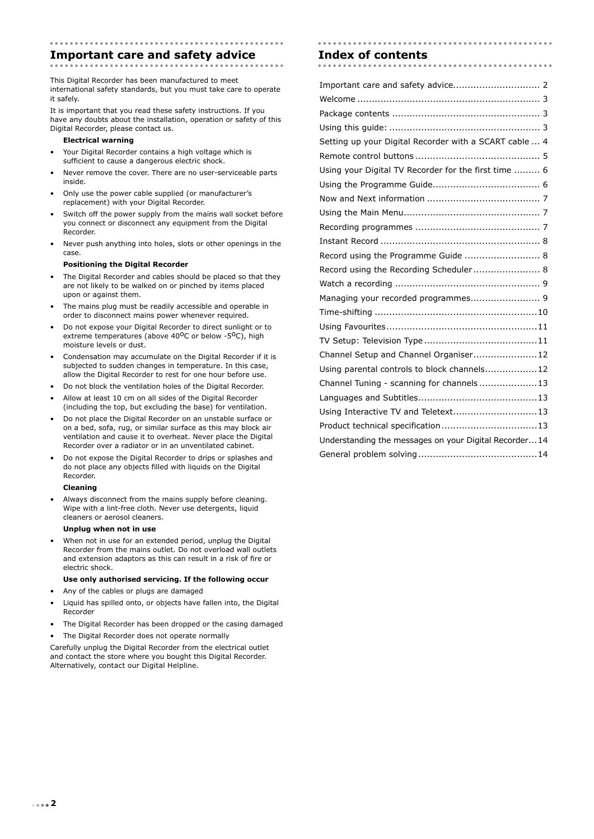## **Important care and safety advice Index of contents**

This Digital Recorder has been manufactured to meet international safety standards, but you must take care to operate it safely.

It is important that you read these safety instructions. If you have any doubts about the installation, operation or safety of this Digital Recorder, please contact us.

#### **Electrical warning**

- Your Digital Recorder contains a high voltage which is sufficient to cause a dangerous electric shock.
- Never remove the cover. There are no user-serviceable parts inside.
- Only use the power cable supplied (or manufacturer's replacement) with your Digital Recorder.
- Switch off the power supply from the mains wall socket before you connect or disconnect any equipment from the Digital Recorder.
- Never push anything into holes, slots or other openings in the case.

#### **Positioning the Digital Recorder**

- The Digital Recorder and cables should be placed so that they are not likely to be walked on or pinched by items placed upon or against them.
- The mains plug must be readily accessible and operable in order to disconnect mains power whenever required.
- Do not expose your Digital Recorder to direct sunlight or to extreme temperatures (above 40<sup>o</sup>C or below -5<sup>o</sup>C), high moisture levels or dust.
- Condensation may accumulate on the Digital Recorder if it is subjected to sudden changes in temperature. In this case, allow the Digital Recorder to rest for one hour before use.
- Do not block the ventilation holes of the Digital Recorder.
- Allow at least 10 cm on all sides of the Digital Recorder (including the top, but excluding the base) for ventilation.
- Do not place the Digital Recorder on an unstable surface or on a bed, sofa, rug, or similar surface as this may block air ventilation and cause it to overheat. Never place the Digital Recorder over a radiator or in an unventilated cabinet.
- Do not expose the Digital Recorder to drips or splashes and do not place any objects filled with liquids on the Digital Recorder.

#### **Cleaning**

Always disconnect from the mains supply before cleaning. Wipe with a lint-free cloth. Never use detergents, liquid cleaners or aerosol cleaners.

#### **Unplug when not in use**

• When not in use for an extended period, unplug the Digital Recorder from the mains outlet. Do not overload wall outlets and extension adaptors as this can result in a risk of fire or electric shock.

#### **Use only authorised servicing. If the following occur**

- Any of the cables or plugs are damaged
- Liquid has spilled onto, or objects have fallen into, the Digital Recorder
- The Digital Recorder has been dropped or the casing damaged
- The Digital Recorder does not operate normally

Carefully unplug the Digital Recorder from the electrical outlet and contact the store where you bought this Digital Recorder. Alternatively, contact our Digital Helpline.

| Setting up your Digital Recorder with a SCART cable  4 |
|--------------------------------------------------------|
|                                                        |
| Using your Digital TV Recorder for the first time  6   |
|                                                        |
|                                                        |
|                                                        |
|                                                        |
|                                                        |
| Record using the Programme Guide  8                    |
| Record using the Recording Scheduler 8                 |
|                                                        |
| Managing your recorded programmes 9                    |
|                                                        |
|                                                        |
|                                                        |
| Channel Setup and Channel Organiser12                  |
| Using parental controls to block channels12            |
| Channel Tuning - scanning for channels13               |
|                                                        |
| Using Interactive TV and Teletext13                    |
|                                                        |
| Understanding the messages on your Digital Recorder14  |
|                                                        |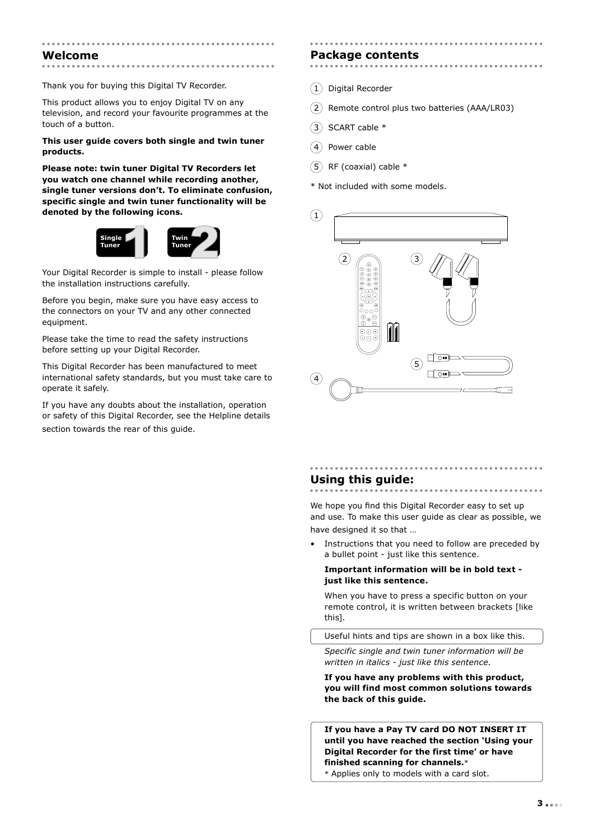#### **Welcome**

Thank you for buying this Digital TV Recorder.

This product allows you to enjoy Digital TV on any television, and record your favourite programmes at the touch of a button.

#### **This user guide covers both single and twin tuner products.**

**Please note: twin tuner Digital TV Recorders let you watch one channel while recording another, single tuner versions don't. To eliminate confusion, specific single and twin tuner functionality will be denoted by the following icons.**



Your Digital Recorder is simple to install - please follow the installation instructions carefully.

Before you begin, make sure you have easy access to the connectors on your TV and any other connected equipment.

Please take the time to read the safety instructions before setting up your Digital Recorder.

This Digital Recorder has been manufactured to meet international safety standards, but you must take care to operate it safely.

If you have any doubts about the installation, operation or safety of this Digital Recorder, see the Helpline details section towards the rear of this guide.

# **Package contents**

- $(1)$  Digital Recorder
- $(2)$  Remote control plus two batteries (AAA/LR03)
- $(3)$  SCART cable  $*$
- $(4)$  Power cable
- $(5)$  RF (coaxial) cable  $*$

\* Not included with some models.



# **Using this guide:**

We hope you find this Digital Recorder easy to set up and use. To make this user guide as clear as possible, we have designed it so that …

• Instructions that you need to follow are preceded by a bullet point - just like this sentence.

#### **Important information will be in bold text just like this sentence.**

When you have to press a specific button on your remote control, it is written between brackets [like this].

Useful hints and tips are shown in a box like this.

*Specific single and twin tuner information will be written in italics - just like this sentence.*

**If you have any problems with this product, you will find most common solutions towards the back of this guide.**

**If you have a Pay TV card DO NOT INSERT IT until you have reached the section 'Using your Digital Recorder for the first time' or have finished scanning for channels.**\* \* Applies only to models with a card slot.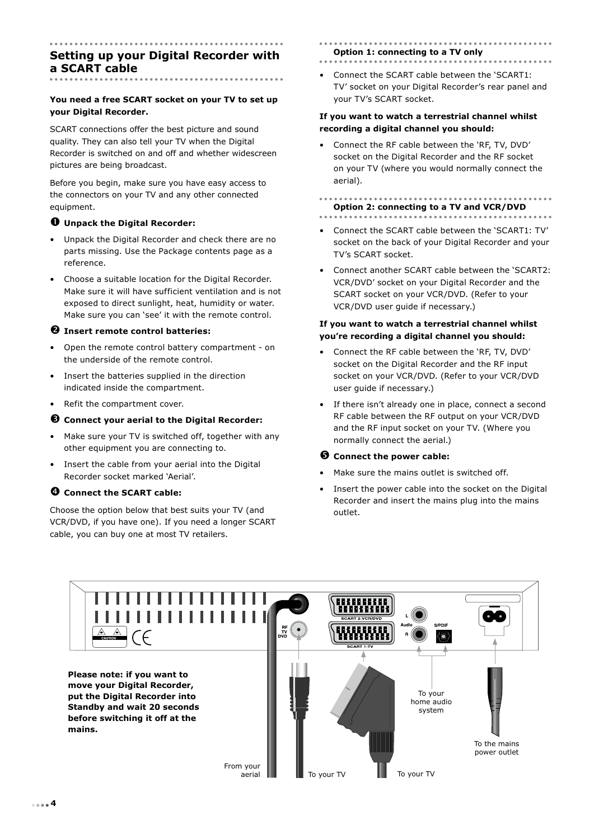# **Setting up your Digital Recorder with a SCART cable**

#### **You need a free SCART socket on your TV to set up your Digital Recorder.**

SCART connections offer the best picture and sound quality. They can also tell your TV when the Digital Recorder is switched on and off and whether widescreen pictures are being broadcast.

Before you begin, make sure you have easy access to the connectors on your TV and any other connected equipment.

#### å **Unpack the Digital Recorder:**

- Unpack the Digital Recorder and check there are no parts missing. Use the Package contents page as a reference.
- Choose a suitable location for the Digital Recorder. Make sure it will have sufficient ventilation and is not exposed to direct sunlight, heat, humidity or water. Make sure you can 'see' it with the remote control.

#### $\Theta$  Insert remote control batteries:

- Open the remote control battery compartment on the underside of the remote control.
- Insert the batteries supplied in the direction indicated inside the compartment.
- Refit the compartment cover.

### é **Connect your aerial to the Digital Recorder:**

- Make sure your TV is switched off, together with any other equipment you are connecting to.
- Insert the cable from your aerial into the Digital Recorder socket marked 'Aerial'.

### è **Connect the SCART cable:**

Choose the option below that best suits your TV (and VCR/DVD, if you have one). If you need a longer SCART cable, you can buy one at most TV retailers.

# **Option 1: connecting to a TV only**

• Connect the SCART cable between the 'SCART1: TV' socket on your Digital Recorder's rear panel and your TV's SCART socket.

#### **If you want to watch a terrestrial channel whilst recording a digital channel you should:**

• Connect the RF cable between the 'RF, TV, DVD' socket on the Digital Recorder and the RF socket on your TV (where you would normally connect the aerial).

# **Option 2: connecting to a TV and VCR/DVD**

- Connect the SCART cable between the 'SCART1: TV' socket on the back of your Digital Recorder and your TV's SCART socket.
- Connect another SCART cable between the 'SCART2: VCR/DVD' socket on your Digital Recorder and the SCART socket on your VCR/DVD. (Refer to your VCR/DVD user guide if necessary.)

#### **If you want to watch a terrestrial channel whilst you're recording a digital channel you should:**

- Connect the RF cable between the 'RF, TV, DVD' socket on the Digital Recorder and the RF input socket on your VCR/DVD. (Refer to your VCR/DVD user guide if necessary.)
- If there isn't already one in place, connect a second RF cable between the RF output on your VCR/DVD and the RF input socket on your TV. (Where you normally connect the aerial.)

#### ê **Connect the power cable:**

- Make sure the mains outlet is switched off.
- Insert the power cable into the socket on the Digital Recorder and insert the mains plug into the mains outlet.

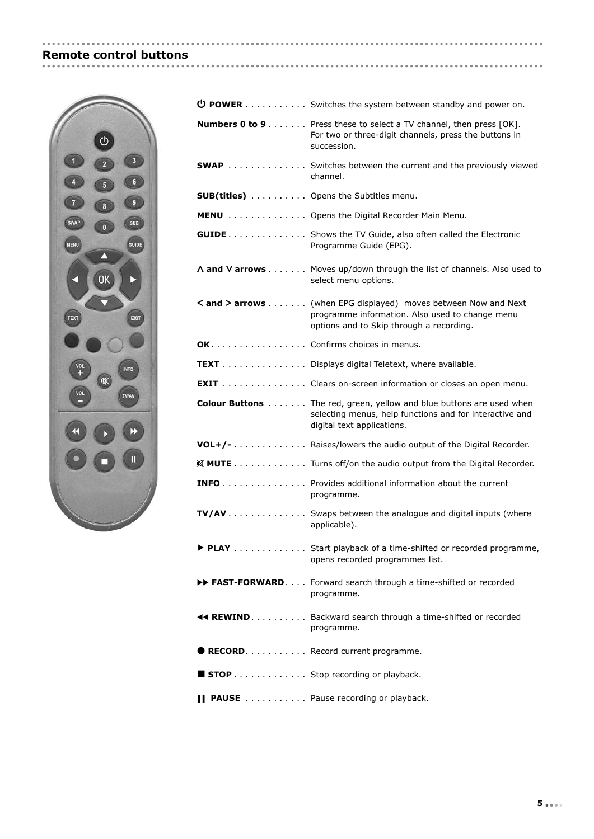# **Remote control buttons**

.................



| $\bigcirc$ POWER Switches the system between standby and power on.                                                                                                   |
|----------------------------------------------------------------------------------------------------------------------------------------------------------------------|
| <b>Numbers 0 to 9</b> Press these to select a TV channel, then press [OK].<br>For two or three-digit channels, press the buttons in<br>succession.                   |
| <b>SWAP</b> Switches between the current and the previously viewed<br>channel.                                                                                       |
| <b>SUB(titles)</b> Opens the Subtitles menu.                                                                                                                         |
| MENU Opens the Digital Recorder Main Menu.                                                                                                                           |
| <b>GUIDE</b> Shows the TV Guide, also often called the Electronic<br>Programme Guide (EPG).                                                                          |
| A and V arrows Moves up/down through the list of channels. Also used to<br>select menu options.                                                                      |
| < and > arrows (when EPG displayed) moves between Now and Next<br>programme information. Also used to change menu<br>options and to Skip through a recording.        |
| OK. Confirms choices in menus.                                                                                                                                       |
| <b>TEXT</b> Displays digital Teletext, where available.                                                                                                              |
| <b>EXIT</b> Clears on-screen information or closes an open menu.                                                                                                     |
| <b>Colour Buttons</b> The red, green, yellow and blue buttons are used when<br>selecting menus, help functions and for interactive and<br>digital text applications. |
| VOL+/- Raises/lowers the audio output of the Digital Recorder.                                                                                                       |
| ※ MUTE Turns off/on the audio output from the Digital Recorder.                                                                                                      |
| <b>INFO</b> Provides additional information about the current<br>programme.                                                                                          |
| <b>TV/AV</b> Swaps between the analogue and digital inputs (where<br>applicable).                                                                                    |
| ▶ PLAY Start playback of a time-shifted or recorded programme,<br>opens recorded programmes list.                                                                    |
| >> FAST-FORWARD. Forward search through a time-shifted or recorded<br>programme.                                                                                     |
| <b>44 REWIND</b> Backward search through a time-shifted or recorded<br>programme.                                                                                    |
| RECORD. Record current programme.                                                                                                                                    |
| <b>STOP</b> Stop recording or playback.                                                                                                                              |
| <b>PAUSE</b> Pause recording or playback.                                                                                                                            |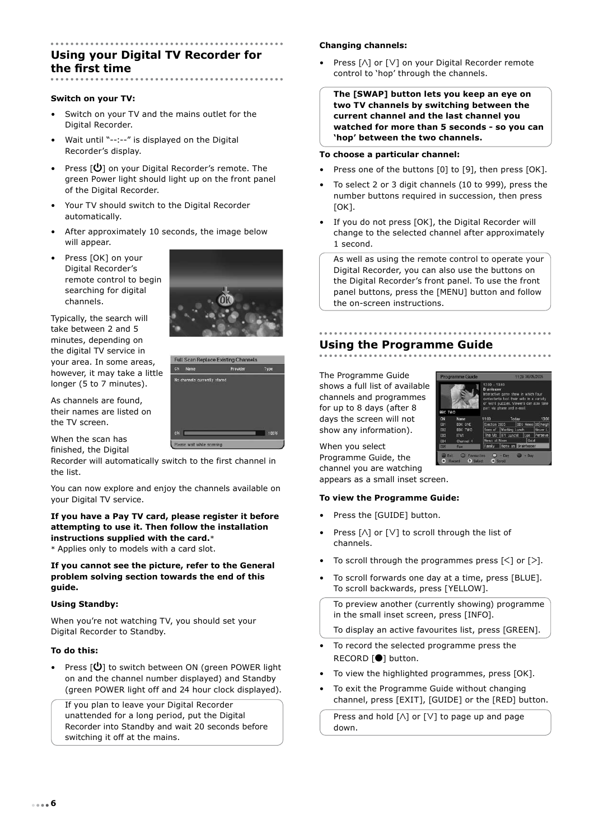# **Using your Digital TV Recorder for the first time**

#### **Switch on your TV:**

- Switch on your TV and the mains outlet for the Digital Recorder.
- Wait until "--:--" is displayed on the Digital Recorder's display.
- Press [ $\bigcup$ ] on your Digital Recorder's remote. The green Power light should light up on the front panel of the Digital Recorder.
- Your TV should switch to the Digital Recorder automatically.
- After approximately 10 seconds, the image below will appear.
- Press [OK] on your Digital Recorder's remote control to begin searching for digital channels.



As channels are found, their names are listed on the TV screen.

When the scan has finished, the Digital

Recorder will automatically switch to the first channel in the list.

**Full Scan Replace Existing Channels** 

Provide

You can now explore and enjoy the channels available on your Digital TV service.

### **If you have a Pay TV card, please register it before attempting to use it. Then follow the installation instructions supplied with the card.**\*

\* Applies only to models with a card slot.

**If you cannot see the picture, refer to the General problem solving section towards the end of this guide.** 

#### **Using Standby:**

When you're not watching TV, you should set your Digital Recorder to Standby.

#### **To do this:**

• Press  $[\mathbf{\Theta}]$  to switch between ON (green POWER light on and the channel number displayed) and Standby (green POWER light off and 24 hour clock displayed).

If you plan to leave your Digital Recorder unattended for a long period, put the Digital Recorder into Standby and wait 20 seconds before switching it off at the mains.

#### **Changing channels:**

Press [ $\wedge$ ] or [ $\vee$ ] on your Digital Recorder remote control to 'hop' through the channels.

**The [SWAP] button lets you keep an eye on two TV channels by switching between the current channel and the last channel you watched for more than 5 seconds - so you can 'hop' between the two channels.**

#### **To choose a particular channel:**

- Press one of the buttons [0] to [9], then press [OK].
- To select 2 or 3 digit channels (10 to 999), press the number buttons required in succession, then press  $[OK]$ .
- If you do not press [OK], the Digital Recorder will change to the selected channel after approximately 1 second.

As well as using the remote control to operate your Digital Recorder, you can also use the buttons on the Digital Recorder's front panel. To use the front panel buttons, press the [MENU] button and follow the on-screen instructions.

# **Using the Programme Guide**

The Programme Guide shows a full list of available channels and programmes for up to 8 days (after 8 days the screen will not show any information).



When you select Programme Guide, the channel you are watching appears as a small inset screen.

#### **To view the Programme Guide:**

- Press the [GUIDE] button.
- Press  $[\wedge]$  or  $[\vee]$  to scroll through the list of channels.
- To scroll through the programmes press  $\lceil \leq \rceil$  or  $\lceil > \rceil$ .
- To scroll forwards one day at a time, press [BLUE]. To scroll backwards, press [YELLOW].

To preview another (currently showing) programme in the small inset screen, press [INFO].

To display an active favourites list, press [GREEN].

- To record the selected programme press the RECORD [�] button.
- To view the highlighted programmes, press [OK].
- To exit the Programme Guide without changing channel, press [EXIT], [GUIDE] or the [RED] button.

Press and hold  $[\wedge]$  or  $[\vee]$  to page up and page down.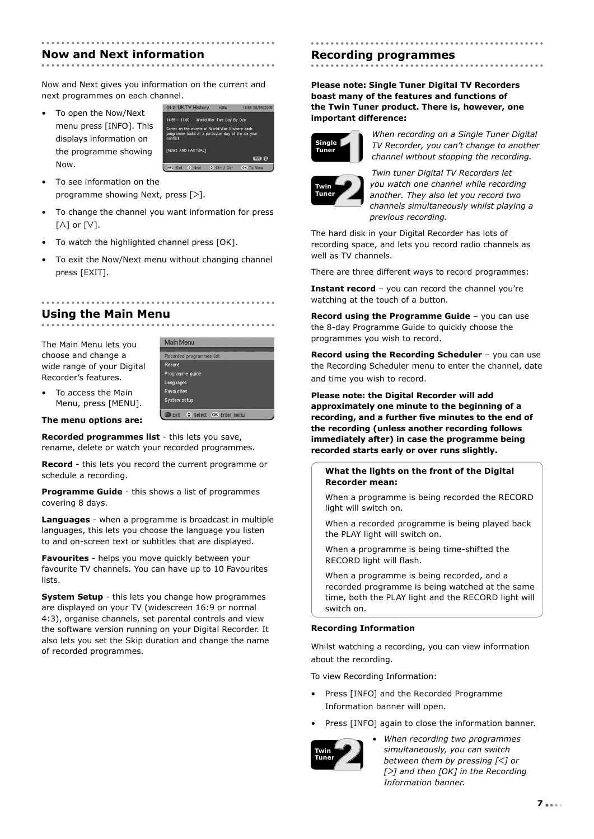#### **Now and Next information**

Now and Next gives you information on the current and next programmes on each channel.

• To open the Now/Next menu press [INFO]. This displays information on the programme showing Now.



- To see information on the programme showing Next, press  $[>].$
- To change the channel you want information for press  $\lceil \wedge \rceil$  or  $\lceil \vee \rceil$ .
- To watch the highlighted channel press [OK].
- To exit the Now/Next menu without changing channel press [EXIT].

#### **Using the Main Menu**

The Main Menu lets you choose and change a wide range of your Digital Recorder's features.



Menu, press [MENU]. **The menu options are:**

• To access the Main

**Recorded programmes list** - this lets you save, rename, delete or watch your recorded programmes.

**Record** - this lets you record the current programme or schedule a recording.

**Programme Guide** - this shows a list of programmes covering 8 days.

**Languages** - when a programme is broadcast in multiple languages, this lets you choose the language you listen to and on-screen text or subtitles that are displayed.

**Favourites** - helps you move quickly between your favourite TV channels. You can have up to 10 Favourites lists.

**System Setup** - this lets you change how programmes are displayed on your TV (widescreen 16:9 or normal 4:3), organise channels, set parental controls and view the software version running on your Digital Recorder. It also lets you set the Skip duration and change the name of recorded programmes.

# **Recording programmes**

### **Please note: Single Tuner Digital TV Recorders boast many of the features and functions of the Twin Tuner product. There is, however, one**



**important difference:**

*When recording on a Single Tuner Digital TV Recorder, you can't change to another channel without stopping the recording.*



*Twin tuner Digital TV Recorders let you watch one channel while recording another. They also let you record two channels simultaneously whilst playing a previous recording.*

The hard disk in your Digital Recorder has lots of recording space, and lets you record radio channels as well as TV channels.

There are three different ways to record programmes:

**Instant record** – you can record the channel you're watching at the touch of a button.

**Record using the Programme Guide - you can use** the 8-day Programme Guide to quickly choose the programmes you wish to record.

**Record using the Recording Scheduler** – you can use the Recording Scheduler menu to enter the channel, date and time you wish to record.

**Please note: the Digital Recorder will add approximately one minute to the beginning of a recording, and a further five minutes to the end of the recording (unless another recording follows immediately after) in case the programme being recorded starts early or over runs slightly.**

#### **What the lights on the front of the Digital Recorder mean:**

When a programme is being recorded the RECORD light will switch on.

When a recorded programme is being played back the PLAY light will switch on.

When a programme is being time-shifted the RECORD light will flash.

When a programme is being recorded, and a recorded programme is being watched at the same time, both the PLAY light and the RECORD light will switch on.

#### **Recording Information**

Whilst watching a recording, you can view information about the recording.

To view Recording Information:

- Press [INFO] and the Recorded Programme Information banner will open.
- Press [INFO] again to close the information banner.



*• When recording two programmes simultaneously, you can switch between them by pressing [ᐸ] or [ᐳ] and then [OK] in the Recording Information banner.*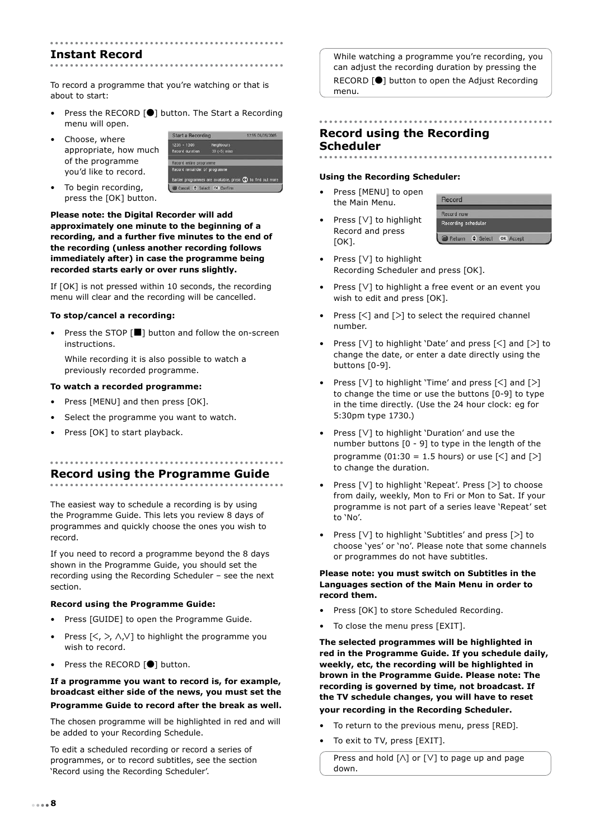### **Instant Record**

To record a programme that you're watching or that is about to start:

- Press the RECORD [<sup>0</sup>] button. The Start a Recording menu will open.
- Choose, where appropriate, how much of the programme you'd like to record.

| Start a Hecording                 |                                                              | <b>IS TO A LONG COPY</b> |
|-----------------------------------|--------------------------------------------------------------|--------------------------|
| $1235 - 13205$<br>Record duration | Neighbours<br>$30 (+5)$ mins                                 |                          |
| Record entire programme           |                                                              |                          |
| Record remainder of programme     |                                                              |                          |
|                                   | Earlier programmes are available, press (1) to find out more |                          |
| Cancel <b>Cancel Confirm</b>      |                                                              |                          |

• To begin recording, press the [OK] button.

**Please note: the Digital Recorder will add approximately one minute to the beginning of a recording, and a further five minutes to the end of the recording (unless another recording follows immediately after) in case the programme being recorded starts early or over runs slightly.**

If [OK] is not pressed within 10 seconds, the recording menu will clear and the recording will be cancelled.

#### **To stop/cancel a recording:**

Press the STOP [ $\blacksquare$ ] button and follow the on-screen instructions.

While recording it is also possible to watch a previously recorded programme.

#### **To watch a recorded programme:**

- Press [MENU] and then press [OK].
- Select the programme you want to watch.
- Press [OK] to start playback.

# **Record using the Programme Guide**

The easiest way to schedule a recording is by using the Programme Guide. This lets you review 8 days of programmes and quickly choose the ones you wish to record.

If you need to record a programme beyond the 8 days shown in the Programme Guide, you should set the recording using the Recording Scheduler – see the next section.

#### **Record using the Programme Guide:**

- Press [GUIDE] to open the Programme Guide.
- Press  $[\langle , \rangle, \wedge, \vee]$  to highlight the programme you wish to record.
- Press the RECORD [<sup>1</sup>] button.

#### **If a programme you want to record is, for example, broadcast either side of the news, you must set the Programme Guide to record after the break as well.**

The chosen programme will be highlighted in red and will be added to your Recording Schedule.

To edit a scheduled recording or record a series of programmes, or to record subtitles, see the section 'Record using the Recording Scheduler'.

While watching a programme you're recording, you can adjust the recording duration by pressing the RECORD [�] button to open the Adjust Recording menu.

# **Record using the Recording Scheduler**

#### **Using the Recording Scheduler:**

- Press [MENU] to open the Main Menu.
- Press [V] to highlight Record and press  $[OK]$ .



- Press [ $V$ ] to highlight Recording Scheduler and press [OK].
- Press  $[V]$  to highlight a free event or an event you wish to edit and press [OK].
- Press  $[\leq]$  and  $[\geq]$  to select the required channel number.
- Press  $[V]$  to highlight 'Date' and press  $[\leq]$  and  $[\geq]$  to change the date, or enter a date directly using the buttons [0-9].
- Press  $[V]$  to highlight 'Time' and press  $[\leq]$  and  $[\geq]$ to change the time or use the buttons [0-9] to type in the time directly. (Use the 24 hour clock: eg for 5:30pm type 1730.)
- Press [V] to highlight 'Duration' and use the number buttons [0 - 9] to type in the length of the programme (01:30 = 1.5 hours) or use  $\lceil \leq \rceil$  and  $\lceil \geq \rceil$ to change the duration.
- Press [V] to highlight 'Repeat'. Press [>] to choose from daily, weekly, Mon to Fri or Mon to Sat. If your programme is not part of a series leave 'Repeat' set to 'No'.
- Press [V] to highlight 'Subtitles' and press [>] to choose 'yes' or 'no'. Please note that some channels or programmes do not have subtitles.

#### **Please note: you must switch on Subtitles in the Languages section of the Main Menu in order to record them.**

- Press [OK] to store Scheduled Recording.
- To close the menu press [EXIT].

**The selected programmes will be highlighted in red in the Programme Guide. If you schedule daily, weekly, etc, the recording will be highlighted in brown in the Programme Guide. Please note: The recording is governed by time, not broadcast. If the TV schedule changes, you will have to reset your recording in the Recording Scheduler.**

- To return to the previous menu, press [RED].
- To exit to TV, press [EXIT].

Press and hold  $[\wedge]$  or  $[\vee]$  to page up and page down.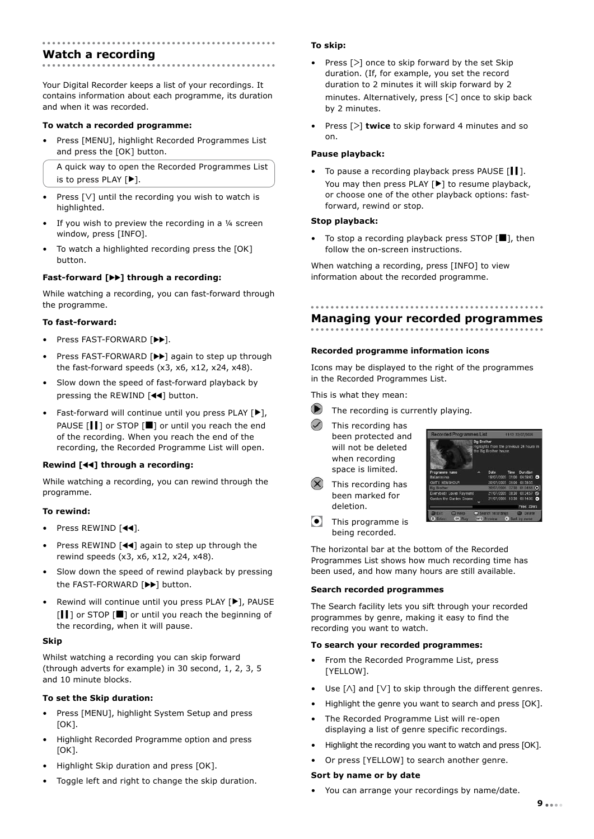### **Watch a recording**

Your Digital Recorder keeps a list of your recordings. It contains information about each programme, its duration and when it was recorded.

#### **To watch a recorded programme:**

• Press [MENU], highlight Recorded Programmes List and press the [OK] button.

A quick way to open the Recorded Programmes List is to press PLAY [▶].

- Press  $[V]$  until the recording you wish to watch is highlighted.
- If you wish to preview the recording in a  $\frac{1}{4}$  screen window, press [INFO].
- To watch a highlighted recording press the [OK] button.

#### **Fast-forward [**��**] through a recording:**

While watching a recording, you can fast-forward through the programme.

#### **To fast-forward:**

- Press FAST-FORWARD [ $\blacktriangleright$ ].
- Press FAST-FORWARD [>>] again to step up through the fast-forward speeds (x3, x6, x12, x24, x48).
- Slow down the speed of fast-forward playback by pressing the REWIND [��] button.
- Fast-forward will continue until you press PLAY [▶], PAUSE [*II*] or STOP [■] or until you reach the end of the recording. When you reach the end of the recording, the Recorded Programme List will open.

#### **Rewind [**��**] through a recording:**

While watching a recording, you can rewind through the programme.

#### **To rewind:**

- Press REWIND [44].
- Press REWIND [44] again to step up through the rewind speeds (x3, x6, x12, x24, x48).
- Slow down the speed of rewind playback by pressing the FAST-FORWARD [��] button.
- Rewind will continue until you press PLAY [▶], PAUSE [1] or STOP [■] or until you reach the beginning of the recording, when it will pause.

#### **Skip**

Whilst watching a recording you can skip forward (through adverts for example) in 30 second, 1, 2, 3, 5 and 10 minute blocks.

#### **To set the Skip duration:**

- Press [MENU], highlight System Setup and press  $[OK]$ .
- Highlight Recorded Programme option and press [OK].
- Highlight Skip duration and press [OK].
- Toggle left and right to change the skip duration.

#### **To skip:**

- Press  $[>]$  once to skip forward by the set Skip duration. (If, for example, you set the record duration to 2 minutes it will skip forward by 2 minutes. Alternatively, press  $\lceil \leq \rceil$  once to skip back by 2 minutes.
- Press [>] **twice** to skip forward 4 minutes and so on.

#### **Pause playback:**

• To pause a recording playback press PAUSE [ $\blacksquare$ ]. You may then press PLAY [▶] to resume playback, or choose one of the other playback options: fastforward, rewind or stop.

#### **Stop playback:**

• To stop a recording playback press STOP  $[\blacksquare]$ , then follow the on-screen instructions.

When watching a recording, press [INFO] to view information about the recorded programme.

## **Managing your recorded programmes**

#### **Recorded programme information icons**

Icons may be displayed to the right of the programmes in the Recorded Programmes List.

This is what they mean:

- $\bullet$ The recording is currently playing.
	- This recording has been protected and will not be deleted when recording space is limited.
- This recording has been marked for deletion.



**This programme is** being recorded.

The horizontal bar at the bottom of the Recorded Programmes List shows how much recording time has been used, and how many hours are still available.

#### **Search recorded programmes**

The Search facility lets you sift through your recorded programmes by genre, making it easy to find the recording you want to watch.

#### **To search your recorded programmes:**

- From the Recorded Programme List, press [YELLOW].
- Use  $[\wedge]$  and  $[\vee]$  to skip through the different genres.
- Highlight the genre you want to search and press [OK].
- The Recorded Programme List will re-open displaying a list of genre specific recordings.
- Highlight the recording you want to watch and press [OK].
- Or press [YELLOW] to search another genre.

#### **Sort by name or by date**

• You can arrange your recordings by name/date.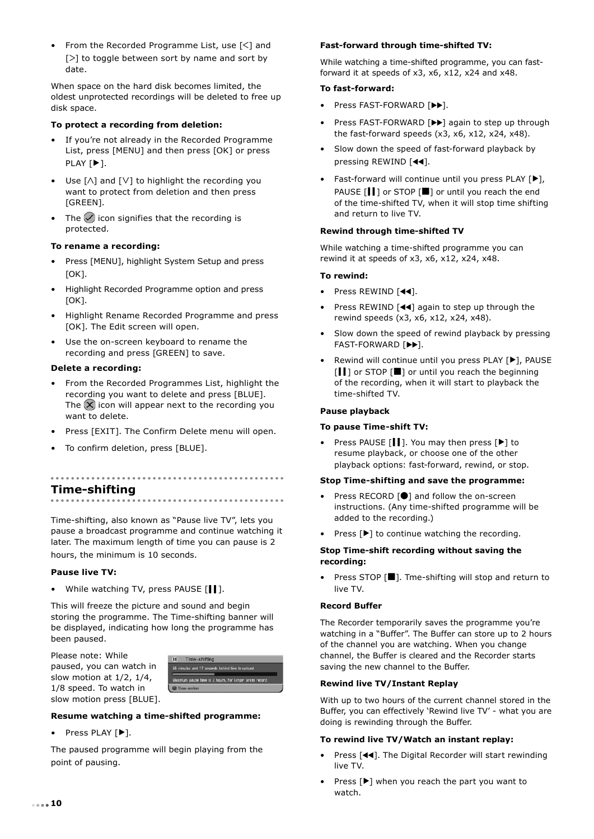• From the Recorded Programme List, use [ᐸ] and [>] to toggle between sort by name and sort by date.

When space on the hard disk becomes limited, the oldest unprotected recordings will be deleted to free up disk space.

#### **To protect a recording from deletion:**

- If you're not already in the Recorded Programme List, press [MENU] and then press [OK] or press PLAY [▶].
- Use  $[\wedge]$  and  $[\vee]$  to highlight the recording you want to protect from deletion and then press [GREEN].
- The  $\vee$  icon signifies that the recording is protected.

#### **To rename a recording:**

- Press [MENU], highlight System Setup and press  $[OK]$ .
- Highlight Recorded Programme option and press [OK].
- Highlight Rename Recorded Programme and press [OK]. The Edit screen will open.
- Use the on-screen keyboard to rename the recording and press [GREEN] to save.

#### **Delete a recording:**

- From the Recorded Programmes List, highlight the recording you want to delete and press [BLUE]. The  $(X)$  icon will appear next to the recording you want to delete.
- Press [EXIT]. The Confirm Delete menu will open.
- To confirm deletion, press [BLUE].

#### ---------------..............................

**Time-shifting**

Time-shifting, also known as "Pause live TV", lets you pause a broadcast programme and continue watching it later. The maximum length of time you can pause is 2 hours, the minimum is 10 seconds.

#### **Pause live TV:**

• While watching TV, press PAUSE [ $||$ ].

This will freeze the picture and sound and begin storing the programme. The Time-shifting banner will be displayed, indicating how long the programme has been paused.

Please note: While paused, you can watch in slow motion at 1/2, 1/4, 1/8 speed. To watch in slow motion press [BLUE].



#### **Resume watching a time-shifted programme:**

• Press PLAY [▶].

The paused programme will begin playing from the point of pausing.

#### **Fast-forward through time-shifted TV:**

While watching a time-shifted programme, you can fastforward it at speeds of x3, x6, x12, x24 and x48.

#### **To fast-forward:**

- Press FAST-FORWARD [ $\blacktriangleright$ ].
- Press FAST-FORWARD [>>] again to step up through the fast-forward speeds (x3, x6, x12, x24, x48).
- Slow down the speed of fast-forward playback by pressing REWIND [44].
- Fast-forward will continue until you press PLAY [▶], PAUSE [*|* | ] or STOP [■] or until you reach the end of the time-shifted TV, when it will stop time shifting and return to live TV.

#### **Rewind through time-shifted TV**

While watching a time-shifted programme you can rewind it at speeds of x3, x6, x12, x24, x48.

#### **To rewind:**

- Press REWIND [44].
- Press REWIND [44] again to step up through the rewind speeds (x3, x6, x12, x24, x48).
- Slow down the speed of rewind playback by pressing FAST-FORWARD [��].
- Rewind will continue until you press PLAY [▶], PAUSE [ $\blacksquare$ ] or STOP [ $\blacksquare$ ] or until you reach the beginning of the recording, when it will start to playback the time-shifted TV.

#### **Pause playback**

#### **To pause Time-shift TV:**

• Press PAUSE [▎▎]. You may then press [▶] to resume playback, or choose one of the other playback options: fast-forward, rewind, or stop.

#### **Stop Time-shifting and save the programme:**

- Press RECORD [<sup>0</sup>] and follow the on-screen instructions. (Any time-shifted programme will be added to the recording.)
- Press [▶] to continue watching the recording.

#### **Stop Time-shift recording without saving the recording:**

• Press STOP [�]. Tme-shifting will stop and return to live TV.

#### **Record Buffer**

The Recorder temporarily saves the programme you're watching in a "Buffer". The Buffer can store up to 2 hours of the channel you are watching. When you change channel, the Buffer is cleared and the Recorder starts saving the new channel to the Buffer.

#### **Rewind live TV/Instant Replay**

With up to two hours of the current channel stored in the Buffer, you can effectively 'Rewind live TV' - what you are doing is rewinding through the Buffer.

#### **To rewind live TV/Watch an instant replay:**

- Press [44]. The Digital Recorder will start rewinding live TV.
- Press  $[\blacktriangleright]$  when you reach the part you want to watch.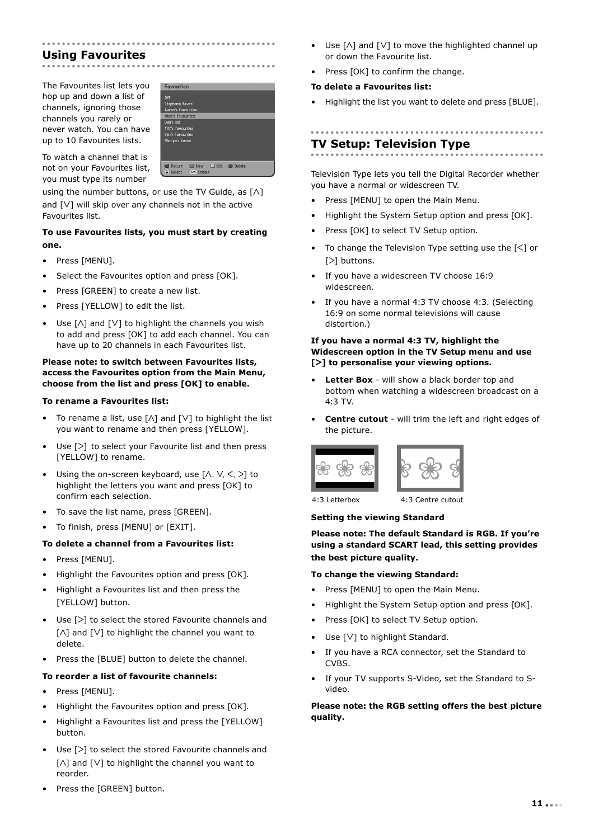## **Using Favourites**

The Favourites list lets you hop up and down a list of channels, ignoring those channels you rarely or never watch. You can have up to 10 Favourites lists.



To watch a channel that is not on your Favourites list, you must type its number

using the number buttons, or use the TV Guide, as  $[\wedge]$ and  $[V]$  will skip over any channels not in the active Favourites list.

#### **To use Favourites lists, you must start by creating one.**

- Press [MENU].
- Select the Favourites option and press [OK].
- Press [GREEN] to create a new list.
- Press [YELLOW] to edit the list.
- Use  $[\wedge]$  and  $[\vee]$  to highlight the channels you wish to add and press [OK] to add each channel. You can have up to 20 channels in each Favourites list.

#### **Please note: to switch between Favourites lists, access the Favourites option from the Main Menu, choose from the list and press [OK] to enable.**

#### **To rename a Favourites list:**

- To rename a list, use  $[\wedge]$  and  $[\vee]$  to highlight the list you want to rename and then press [YELLOW].
- Use [>] to select your Favourite list and then press [YELLOW] to rename.
- Using the on-screen keyboard, use  $[\wedge, \vee, \leq, \geq]$  to highlight the letters you want and press [OK] to confirm each selection.
- To save the list name, press [GREEN].
- To finish, press [MENU] or [EXIT].

#### **To delete a channel from a Favourites list:**

- Press [MENU].
- Highlight the Favourites option and press [OK].
- Highlight a Favourites list and then press the [YELLOW] button.
- Use [>] to select the stored Favourite channels and [ $\Lambda$ ] and [ $\lor$ ] to highlight the channel you want to delete.
- Press the [BLUE] button to delete the channel.

#### **To reorder a list of favourite channels:**

- Press [MENU].
- Highlight the Favourites option and press [OK].
- Highlight a Favourites list and press the [YELLOW] button.
- Use  $[>]$  to select the stored Favourite channels and [ $\Lambda$ ] and [ $\lor$ ] to highlight the channel you want to reorder.
- Press the [GREEN] button.
- Use  $[\wedge]$  and  $[\vee]$  to move the highlighted channel up or down the Favourite list.
- Press [OK] to confirm the change.

#### **To delete a Favourites list:**

• Highlight the list you want to delete and press [BLUE].

## **TV Setup: Television Type**

Television Type lets you tell the Digital Recorder whether you have a normal or widescreen TV.

- Press [MENU] to open the Main Menu.
- Highlight the System Setup option and press [OK].
- Press [OK] to select TV Setup option.
- To change the Television Type setting use the  $\lceil \leq \rceil$  or [>] buttons.
- If you have a widescreen TV choose 16:9 widescreen.
- If you have a normal 4:3 TV choose 4:3. (Selecting 16:9 on some normal televisions will cause distortion.)

#### **If you have a normal 4:3 TV, highlight the Widescreen option in the TV Setup menu and use [ᐳ] to personalise your viewing options.**

- **Letter Box** will show a black border top and bottom when watching a widescreen broadcast on a  $4.3$  TV
- **Centre cutout** will trim the left and right edges of the picture.





4:3 Letterbox 4:3 Centre cutout

#### **Setting the viewing Standard**

#### **Please note: The default Standard is RGB. If you're using a standard SCART lead, this setting provides the best picture quality.**

#### **To change the viewing Standard:**

- Press [MENU] to open the Main Menu.
- Highlight the System Setup option and press [OK].
- Press [OK] to select TV Setup option.
- Use [V] to highlight Standard.
- If you have a RCA connector, set the Standard to CVBS.
- If your TV supports S-Video, set the Standard to Svideo.

#### **Please note: the RGB setting offers the best picture quality.**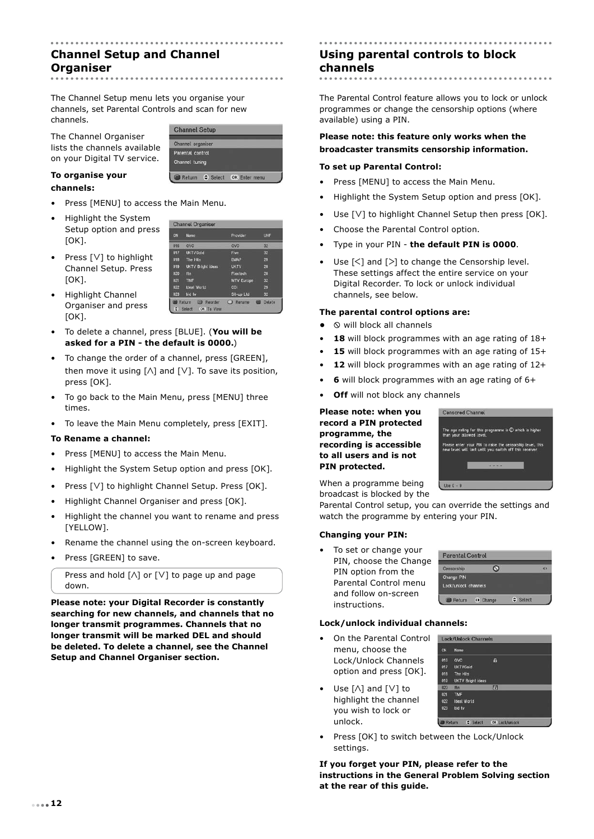# **Channel Setup and Channel Organiser**

The Channel Setup menu lets you organise your channels, set Parental Controls and scan for new channels.

The Channel Organiser lists the channels available on your Digital TV service.

| Channel organiser |  |
|-------------------|--|
| Parental control  |  |
| Channel tuning    |  |

**Channel Organiser** 

**CN** 016 **UKTVGold** The Hits<br>UKTV Bright

 $018$ 019 020<br>021 ftn $TMF$ 022 **Ideal World** 

023 bid tv C Reor C Select OK To View

#### **To organise your channels:**

- Press [MENU] to access the Main Menu.
- Highlight the System Setup option and press  $[OK]$ .
- Press [V] to highlight Channel Setup. Press [OK].
- Highlight Channel Organiser and press [OK].
- To delete a channel, press [BLUE]. (**You will be asked for a PIN - the default is 0000.**)
- To change the order of a channel, press [GREEN], then move it using  $[\wedge]$  and  $[\vee]$ . To save its position, press [OK].
- To go back to the Main Menu, press [MENU] three times.
- To leave the Main Menu completely, press [EXIT].

#### **To Rename a channel:**

- Press [MENU] to access the Main Menu.
- Highlight the System Setup option and press [OK].
- Press [V] to highlight Channel Setup. Press [OK].
- Highlight Channel Organiser and press [OK].
- Highlight the channel you want to rename and press [YELLOW].
- Rename the channel using the on-screen keyboard.
- Press [GREEN] to save.

Press and hold  $[\wedge]$  or  $[\vee]$  to page up and page down.

**Please note: your Digital Recorder is constantly searching for new channels, and channels that no longer transmit programmes. Channels that no longer transmit will be marked DEL and should be deleted. To delete a channel, see the Channel Setup and Channel Organiser section.** 

#### **Using parental controls to block channels** . . . . . . . . . . . . . . . . . .

The Parental Control feature allows you to lock or unlock programmes or change the censorship options (where available) using a PIN.

#### **Please note: this feature only works when the broadcaster transmits censorship information.**

#### **To set up Parental Control:**

- Press [MENU] to access the Main Menu.
- Highlight the System Setup option and press [OK].
- Use [V] to highlight Channel Setup then press [OK].
- Choose the Parental Control option.
- Type in your PIN **the default PIN is 0000**.
- Use  $[\leq]$  and  $[\geq]$  to change the Censorship level. These settings affect the entire service on your Digital Recorder. To lock or unlock individual channels, see below.

#### **The parental control options are:**

- $\circ$  will block all channels
- 18 will block programmes with an age rating of 18+
- 15 will block programmes with an age rating of 15+
- 12 will block programmes with an age rating of 12+
- **6** will block programmes with an age rating of 6+
- **Off** will not block any channels

**Please note: when you record a PIN protected programme, the recording is accessible to all users and is not PIN protected.**



When a programme being broadcast is blocked by the

Parental Control setup, you can override the settings and watch the programme by entering your PIN.

#### **Changing your PIN:**

• To set or change your PIN, choose the Change PIN option from the Parental Control menu and follow on-screen instructions.

| <b>Parental Control</b> |            |          |  |
|-------------------------|------------|----------|--|
| Censorship              |            |          |  |
| Change PIN              |            |          |  |
| Lock/unlock channels    |            |          |  |
| Return                  | (b) Change | ≑ Select |  |

G

**In** 

Return # Select OK Lock/unlock

Lock/Unlock Channels Name 016 QVC<br>017 UKTVGold

 $018$ The Hit UKTV Bright ideas

 $021$  $025$ **Ideal World** bid t

#### **Lock/unlock individual channels:**

- On the Parental Control menu, choose the Lock/Unlock Channels option and press [OK].
- Use [ $\Lambda$ ] and [ $\lor$ ] to highlight the channel you wish to lock or unlock.
- Press [OK] to switch between the Lock/Unlock settings.

**If you forget your PIN, please refer to the instructions in the General Problem Solving section at the rear of this guide.**

| on. |  |  |           |
|-----|--|--|-----------|
|     |  |  |           |
|     |  |  |           |
|     |  |  | $\bullet$ |
|     |  |  |           |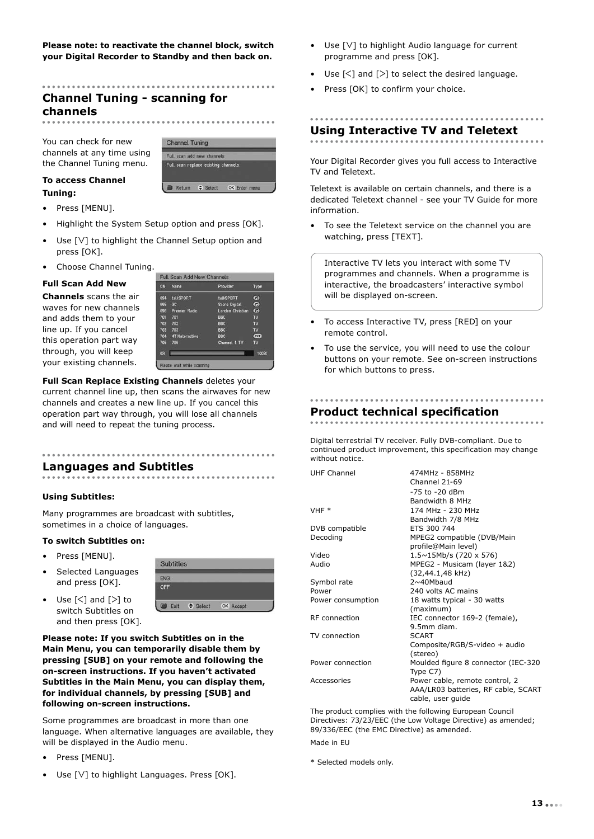**Please note: to reactivate the channel block, switch your Digital Recorder to Standby and then back on.**

# **Channel Tuning - scanning for channels**

You can check for new channels at any time using the Channel Tuning menu.



#### **To access Channel Tuning:**

- Press [MENU].
- Highlight the System Setup option and press [OK].
- Use [ $V$ ] to highlight the Channel Setup option and press [OK].
- Choose Channel Tuning.

#### **Full Scan Add New**

**Channels** scans the air waves for new channels and adds them to your line up. If you cancel this operation part way through, you will keep your existing channels.

| CN         | Name               | Provider         | Type                  |
|------------|--------------------|------------------|-----------------------|
| 094        | talkSPORT          | talkSPORT        | ◚                     |
| 095        | 3 <sup>c</sup>     | Score Digital    | $\bullet$             |
|            | 096 Premier Radio  | London Christian | $\boldsymbol{\sigma}$ |
| 701        | 701                | <b>BBC</b>       | TV                    |
| 702        | 702                | BBC:             | <b>TV</b>             |
| 703        | 703                | <b>BBC</b>       | TV                    |
|            | 704 4TVInteractive | <b>BBC</b>       | Œ                     |
| 705        | 705                | Channel 4 TV     | TV                    |
| <b>OSK</b> |                    |                  | 10096                 |

**Full Scan Replace Existing Channels** deletes your current channel line up, then scans the airwaves for new channels and creates a new line up. If you cancel this operation part way through, you will lose all channels and will need to repeat the tuning process.

**Languages and Subtitles**

#### **Using Subtitles:**

Many programmes are broadcast with subtitles, sometimes in a choice of languages.

#### **To switch Subtitles on:**

- Press [MENU].
- Selected Languages and press [OK].

Use  $[\leq]$  and  $[\geq]$  to switch Subtitles on

Subtitles **ENG** OFF Exit C Select OK Accept

and then press [OK]. **Please note: If you switch Subtitles on in the Main Menu, you can temporarily disable them by pressing [SUB] on your remote and following the on-screen instructions. If you haven't activated Subtitles in the Main Menu, you can display them,** 

**following on-screen instructions.**

**for individual channels, by pressing [SUB] and** 

Some programmes are broadcast in more than one language. When alternative languages are available, they will be displayed in the Audio menu.

- Press [MENU].
- Use [V] to highlight Languages. Press [OK].
- Use [V] to highlight Audio language for current programme and press [OK].
- Use  $[\leq]$  and  $[\geq]$  to select the desired language.
- Press [OK] to confirm your choice.

# **Using Interactive TV and Teletext**

Your Digital Recorder gives you full access to Interactive TV and Teletext.

Teletext is available on certain channels, and there is a dedicated Teletext channel - see your TV Guide for more information.

• To see the Teletext service on the channel you are watching, press [TEXT].

Interactive TV lets you interact with some TV programmes and channels. When a programme is interactive, the broadcasters' interactive symbol will be displayed on-screen.

- To access Interactive TV, press [RED] on your remote control.
- To use the service, you will need to use the colour buttons on your remote. See on-screen instructions for which buttons to press.

# **Product technical specification**

Digital terrestrial TV receiver. Fully DVB-compliant. Due to continued product improvement, this specification may change without notice.

| <b>UHF Channel</b> | 474MHz - 858MHz                     |
|--------------------|-------------------------------------|
|                    | Channel 21-69                       |
|                    | -75 to -20 dBm                      |
|                    | Bandwidth 8 MHz                     |
| VHF *              | 174 MHz - 230 MHz                   |
|                    | Bandwidth 7/8 MHz                   |
| DVB compatible     | ETS 300 744                         |
| Decoding           | MPEG2 compatible (DVB/Main          |
|                    | profile@Main level)                 |
| Video              | $1.5 \sim 15$ Mb/s (720 x 576)      |
| Audio              | MPEG2 - Musicam (layer 1&2)         |
|                    | (32,44.1,48 kHz)                    |
| Symbol rate        | $2 \sim 40$ Mbaud                   |
| Power              | 240 volts AC mains                  |
| Power consumption  | 18 watts typical - 30 watts         |
|                    | (maximum)                           |
| RF connection      | IEC connector 169-2 (female),       |
|                    | 9.5mm diam.                         |
| TV connection      | <b>SCART</b>                        |
|                    | Composite/RGB/S-video + audio       |
|                    | (stereo)                            |
| Power connection   | Moulded figure 8 connector (IEC-320 |
|                    | Type C7)                            |
| Accessories        | Power cable, remote control, 2      |
|                    | AAA/LR03 batteries, RF cable, SCART |
|                    | cable, user quide                   |
|                    |                                     |

The product complies with the following European Council Directives: 73/23/EEC (the Low Voltage Directive) as amended; 89/336/EEC (the EMC Directive) as amended. Made in EU

\* Selected models only.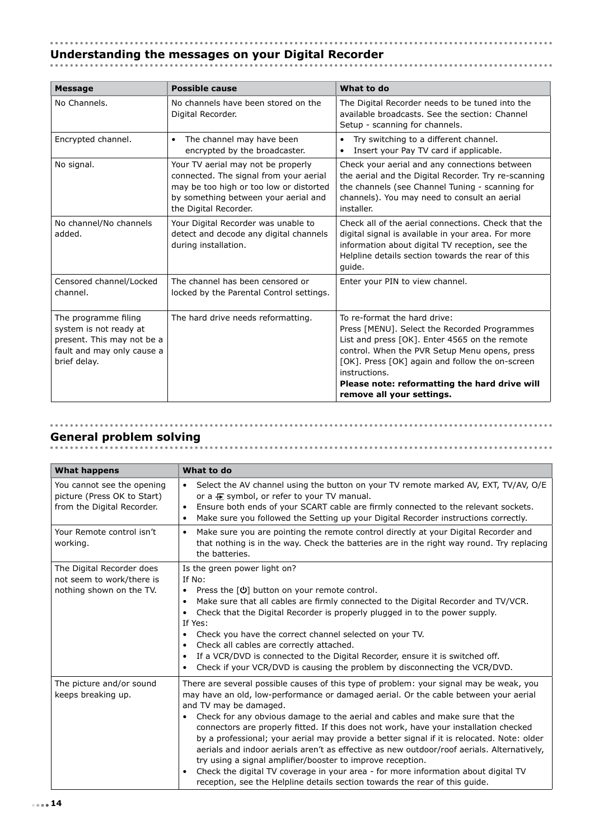# **Understanding the messages on your Digital Recorder**

| <b>Message</b>                                                                                                             | <b>Possible cause</b>                                                                                                                                                                    | What to do                                                                                                                                                                                                                                                                                                                       |
|----------------------------------------------------------------------------------------------------------------------------|------------------------------------------------------------------------------------------------------------------------------------------------------------------------------------------|----------------------------------------------------------------------------------------------------------------------------------------------------------------------------------------------------------------------------------------------------------------------------------------------------------------------------------|
| No Channels.                                                                                                               | No channels have been stored on the<br>Digital Recorder.                                                                                                                                 | The Digital Recorder needs to be tuned into the<br>available broadcasts. See the section: Channel<br>Setup - scanning for channels.                                                                                                                                                                                              |
| Encrypted channel.                                                                                                         | The channel may have been<br>$\bullet$<br>encrypted by the broadcaster.                                                                                                                  | Try switching to a different channel.<br>$\bullet$<br>Insert your Pay TV card if applicable.<br>$\bullet$                                                                                                                                                                                                                        |
| No signal.                                                                                                                 | Your TV aerial may not be properly<br>connected. The signal from your aerial<br>may be too high or too low or distorted<br>by something between your aerial and<br>the Digital Recorder. | Check your aerial and any connections between<br>the aerial and the Digital Recorder. Try re-scanning<br>the channels (see Channel Tuning - scanning for<br>channels). You may need to consult an aerial<br>installer.                                                                                                           |
| No channel/No channels<br>added.                                                                                           | Your Digital Recorder was unable to<br>detect and decode any digital channels<br>during installation.                                                                                    | Check all of the aerial connections. Check that the<br>digital signal is available in your area. For more<br>information about digital TV reception, see the<br>Helpline details section towards the rear of this<br>quide.                                                                                                      |
| Censored channel/Locked<br>channel.                                                                                        | The channel has been censored or<br>locked by the Parental Control settings.                                                                                                             | Enter your PIN to view channel.                                                                                                                                                                                                                                                                                                  |
| The programme filing<br>system is not ready at<br>present. This may not be a<br>fault and may only cause a<br>brief delay. | The hard drive needs reformatting.                                                                                                                                                       | To re-format the hard drive:<br>Press [MENU]. Select the Recorded Programmes<br>List and press [OK]. Enter 4565 on the remote<br>control. When the PVR Setup Menu opens, press<br>[OK]. Press [OK] again and follow the on-screen<br>instructions.<br>Please note: reformatting the hard drive will<br>remove all your settings. |

# **General problem solving**

| <b>What happens</b>                                                                     | What to do                                                                                                                                                                                                                                                                                                                                                                                                                                                                                                                                                                                                                                                                                                                                                                                                                     |
|-----------------------------------------------------------------------------------------|--------------------------------------------------------------------------------------------------------------------------------------------------------------------------------------------------------------------------------------------------------------------------------------------------------------------------------------------------------------------------------------------------------------------------------------------------------------------------------------------------------------------------------------------------------------------------------------------------------------------------------------------------------------------------------------------------------------------------------------------------------------------------------------------------------------------------------|
| You cannot see the opening<br>picture (Press OK to Start)<br>from the Digital Recorder. | Select the AV channel using the button on your TV remote marked AV, EXT, TV/AV, O/E<br>$\bullet$<br>or a $\boxplus$ symbol, or refer to your TV manual.<br>Ensure both ends of your SCART cable are firmly connected to the relevant sockets.<br>Make sure you followed the Setting up your Digital Recorder instructions correctly.<br>$\bullet$                                                                                                                                                                                                                                                                                                                                                                                                                                                                              |
| Your Remote control isn't<br>working.                                                   | Make sure you are pointing the remote control directly at your Digital Recorder and<br>$\bullet$<br>that nothing is in the way. Check the batteries are in the right way round. Try replacing<br>the batteries.                                                                                                                                                                                                                                                                                                                                                                                                                                                                                                                                                                                                                |
| The Digital Recorder does<br>not seem to work/there is<br>nothing shown on the TV.      | Is the green power light on?<br>If No:<br>Press the $[\mathbf{\Theta}]$ button on your remote control.<br>$\bullet$<br>Make sure that all cables are firmly connected to the Digital Recorder and TV/VCR.<br>$\bullet$<br>Check that the Digital Recorder is properly plugged in to the power supply.<br>$\bullet$<br>If Yes:<br>Check you have the correct channel selected on your TV.<br>Check all cables are correctly attached.<br>$\bullet$<br>If a VCR/DVD is connected to the Digital Recorder, ensure it is switched off.<br>Check if your VCR/DVD is causing the problem by disconnecting the VCR/DVD.                                                                                                                                                                                                               |
| The picture and/or sound<br>keeps breaking up.                                          | There are several possible causes of this type of problem: your signal may be weak, you<br>may have an old, low-performance or damaged aerial. Or the cable between your aerial<br>and TV may be damaged.<br>Check for any obvious damage to the aerial and cables and make sure that the<br>connectors are properly fitted. If this does not work, have your installation checked<br>by a professional; your aerial may provide a better signal if it is relocated. Note: older<br>aerials and indoor aerials aren't as effective as new outdoor/roof aerials. Alternatively,<br>try using a signal amplifier/booster to improve reception.<br>Check the digital TV coverage in your area - for more information about digital TV<br>$\bullet$<br>reception, see the Helpline details section towards the rear of this quide. |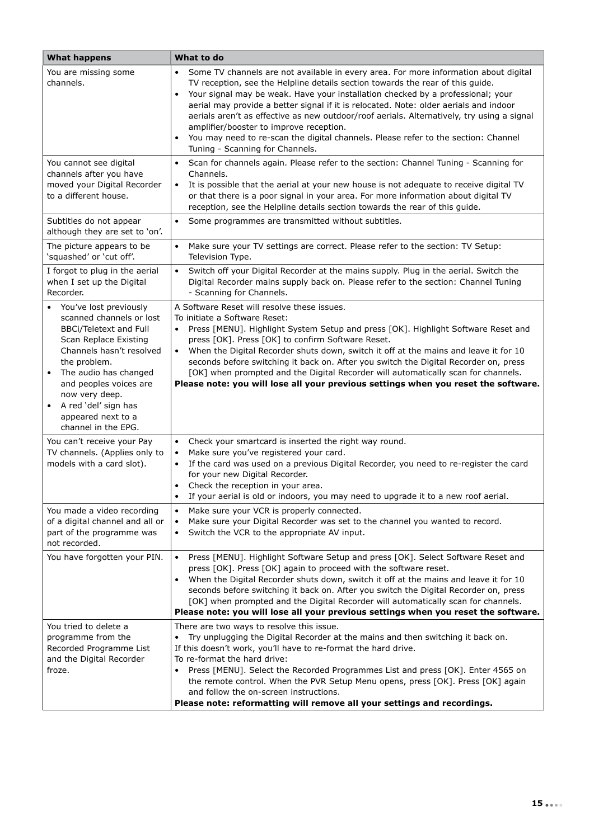| <b>What happens</b>                                                                                                                                                                                                                                                                                                                       | What to do                                                                                                                                                                                                                                                                                                                                                                                                                                                                                                                                                                                                                        |
|-------------------------------------------------------------------------------------------------------------------------------------------------------------------------------------------------------------------------------------------------------------------------------------------------------------------------------------------|-----------------------------------------------------------------------------------------------------------------------------------------------------------------------------------------------------------------------------------------------------------------------------------------------------------------------------------------------------------------------------------------------------------------------------------------------------------------------------------------------------------------------------------------------------------------------------------------------------------------------------------|
| You are missing some<br>channels.                                                                                                                                                                                                                                                                                                         | Some TV channels are not available in every area. For more information about digital<br>TV reception, see the Helpline details section towards the rear of this guide.<br>Your signal may be weak. Have your installation checked by a professional; your<br>$\bullet$<br>aerial may provide a better signal if it is relocated. Note: older aerials and indoor<br>aerials aren't as effective as new outdoor/roof aerials. Alternatively, try using a signal<br>amplifier/booster to improve reception.<br>You may need to re-scan the digital channels. Please refer to the section: Channel<br>Tuning - Scanning for Channels. |
| You cannot see digital<br>channels after you have<br>moved your Digital Recorder<br>to a different house.                                                                                                                                                                                                                                 | Scan for channels again. Please refer to the section: Channel Tuning - Scanning for<br>$\bullet$<br>Channels.<br>It is possible that the aerial at your new house is not adequate to receive digital TV<br>$\bullet$<br>or that there is a poor signal in your area. For more information about digital TV<br>reception, see the Helpline details section towards the rear of this guide.                                                                                                                                                                                                                                         |
| Subtitles do not appear<br>although they are set to 'on'.                                                                                                                                                                                                                                                                                 | $\bullet$<br>Some programmes are transmitted without subtitles.                                                                                                                                                                                                                                                                                                                                                                                                                                                                                                                                                                   |
| The picture appears to be<br>'squashed' or 'cut off'.                                                                                                                                                                                                                                                                                     | Make sure your TV settings are correct. Please refer to the section: TV Setup:<br>$\bullet$<br>Television Type.                                                                                                                                                                                                                                                                                                                                                                                                                                                                                                                   |
| I forgot to plug in the aerial<br>when I set up the Digital<br>Recorder.                                                                                                                                                                                                                                                                  | Switch off your Digital Recorder at the mains supply. Plug in the aerial. Switch the<br>$\bullet$<br>Digital Recorder mains supply back on. Please refer to the section: Channel Tuning<br>- Scanning for Channels.                                                                                                                                                                                                                                                                                                                                                                                                               |
| You've lost previously<br>$\bullet$<br>scanned channels or lost<br><b>BBCi/Teletext and Full</b><br>Scan Replace Existing<br>Channels hasn't resolved<br>the problem.<br>The audio has changed<br>$\bullet$<br>and peoples voices are<br>now very deep.<br>A red 'del' sign has<br>$\bullet$<br>appeared next to a<br>channel in the EPG. | A Software Reset will resolve these issues.<br>To initiate a Software Reset:<br>Press [MENU]. Highlight System Setup and press [OK]. Highlight Software Reset and<br>press [OK]. Press [OK] to confirm Software Reset.<br>When the Digital Recorder shuts down, switch it off at the mains and leave it for 10<br>$\bullet$<br>seconds before switching it back on. After you switch the Digital Recorder on, press<br>[OK] when prompted and the Digital Recorder will automatically scan for channels.<br>Please note: you will lose all your previous settings when you reset the software.                                    |
| You can't receive your Pay<br>TV channels. (Applies only to<br>models with a card slot).                                                                                                                                                                                                                                                  | Check your smartcard is inserted the right way round.<br>$\bullet$<br>Make sure you've registered your card.<br>$\bullet$<br>If the card was used on a previous Digital Recorder, you need to re-register the card<br>$\bullet$<br>for your new Digital Recorder.<br>Check the reception in your area.<br>If your aerial is old or indoors, you may need to upgrade it to a new roof aerial.                                                                                                                                                                                                                                      |
| You made a video recording<br>of a digital channel and all or<br>part of the programme was<br>not recorded.                                                                                                                                                                                                                               | Make sure your VCR is properly connected.<br>$\bullet$<br>Make sure your Digital Recorder was set to the channel you wanted to record.<br>$\bullet$<br>Switch the VCR to the appropriate AV input.<br>$\bullet$                                                                                                                                                                                                                                                                                                                                                                                                                   |
| You have forgotten your PIN.                                                                                                                                                                                                                                                                                                              | Press [MENU]. Highlight Software Setup and press [OK]. Select Software Reset and<br>$\bullet$<br>press [OK]. Press [OK] again to proceed with the software reset.<br>When the Digital Recorder shuts down, switch it off at the mains and leave it for 10<br>$\bullet$<br>seconds before switching it back on. After you switch the Digital Recorder on, press<br>[OK] when prompted and the Digital Recorder will automatically scan for channels.<br>Please note: you will lose all your previous settings when you reset the software.                                                                                         |
| You tried to delete a<br>programme from the<br>Recorded Programme List<br>and the Digital Recorder<br>froze.                                                                                                                                                                                                                              | There are two ways to resolve this issue.<br>Try unplugging the Digital Recorder at the mains and then switching it back on.<br>$\bullet$<br>If this doesn't work, you'll have to re-format the hard drive.<br>To re-format the hard drive:<br>Press [MENU]. Select the Recorded Programmes List and press [OK]. Enter 4565 on<br>the remote control. When the PVR Setup Menu opens, press [OK]. Press [OK] again<br>and follow the on-screen instructions.<br>Please note: reformatting will remove all your settings and recordings.                                                                                            |